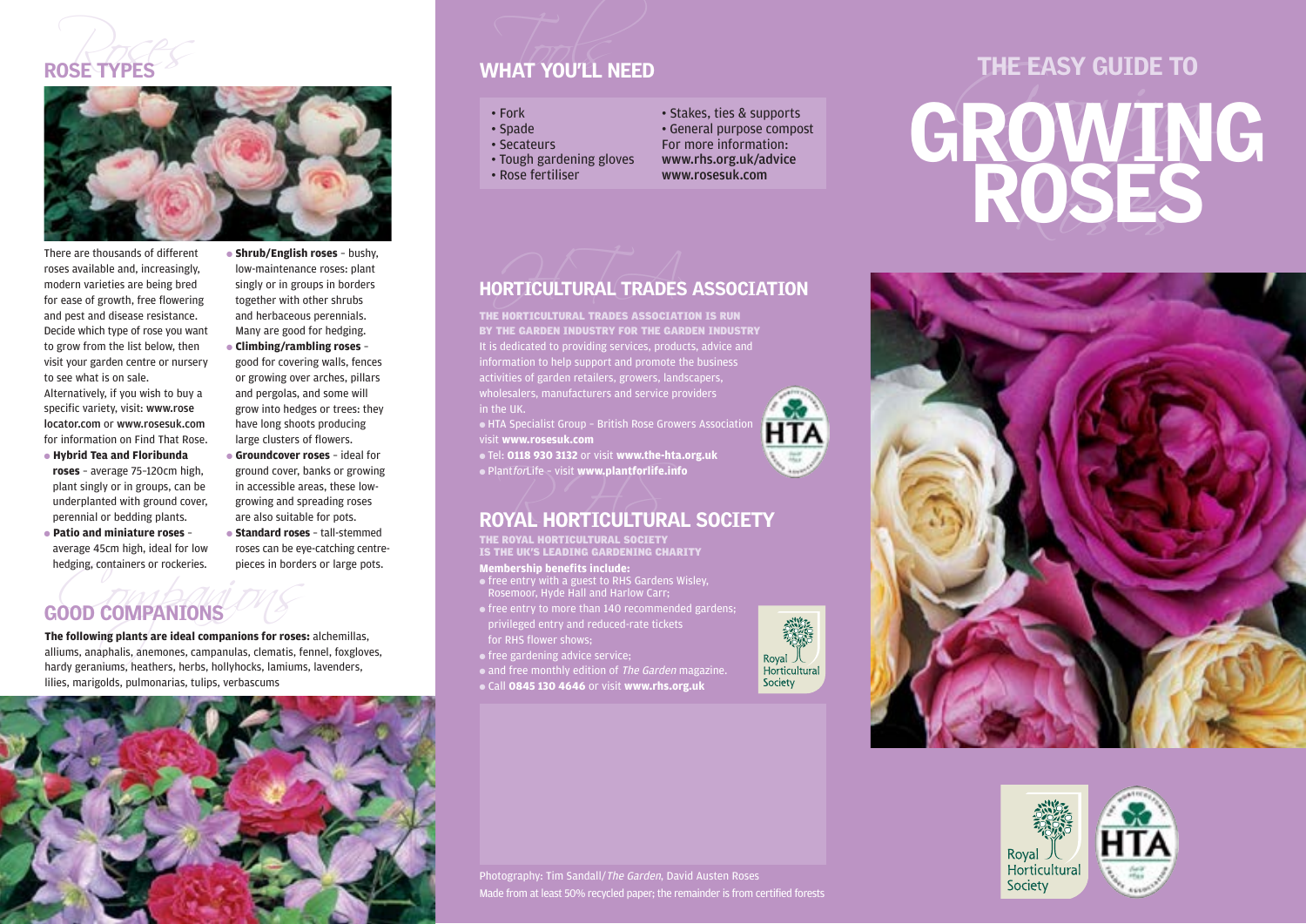



There are thousands of different roses available and, increasingly, modern varieties are being bred for ease of growth, free flowering and pest and disease resistance. Decide which type of rose you want to grow from the list below, then visit your garden centre or nursery to see what is on sale.

Alternatively, if you wish to buy a specific variety, visit: www.rose locator.com or www.rosesuk.com for information on Find That Rose.

- **Hybrid Tea and Floribunda roses** – average 75–120cm high, plant singly or in groups, can be underplanted with ground cover, perennial or bedding plants.
- **Patio and miniature roses** average 45cm high, ideal for low hedging, containers or rockeries.

● **Shrub/English roses** – bushy, low-maintenance roses: plant singly or in groups in borders together with other shrubs and herbaceous perennials. Many are good for hedging. ● **Climbing/rambling roses** –

good for covering walls, fences or growing over arches, pillars and pergolas, and some will grow into hedges or trees: they have long shoots producing large clusters of flowers. ● **Groundcover roses** – ideal for ground cover, banks or growing in accessible areas, these lowgrowing and spreading roses

are also suitable for pots. ● **Standard roses** – tall-stemmed roses can be eye-catching centrepieces in borders or large pots.

# GOOD COMPANIONS

medging, containers or rockeries.<br>
COOD COMPANIONS<br>
The following plants are ideal companions for roses: alchemillas,<br>
alliums, anaphalis, anemones, campanulas, clematis, fennel, foxgloves,<br>
hardy geraniums, heathers, herb **The following plants are ideal companions for roses:** alchemillas, hardy geraniums, heathers, herbs, hollyhocks, lamiums, lavenders, lilies, marigolds, pulmonarias, tulips, verbascums



### ROSE TYPES WHAT YOU'LL NEED

- 
- 
- 
- 
- 
- 
- 
- 
- 



## HORTICULTURAL TRADES ASSOCIATION

It is dedicated to providing services, products, advice and information to help support and promote the business activities of garden retailers, growers, landscapers, in the UK. THE HORTICULTURAL TRADES ASSOCIATION IS RUN BY THE GARDEN INDUSTRY FOR THE GARDEN INDUSTRY

● HTA Specialist Group – British Rose Growers Association visit **www.rosesuk.com**

● Tel: **0118 930 3132** or visit **www.the-hta.org.uk** ● PlantforLife – visit **www.plantforlife.info**

# $\bullet$  Plant*for*Life – visit www.plantforlife.info<br>ROYAL HORTICULTURAL SOCIETY

THE ROYAL HORTICULTURAL SOCIETY IS THE UK'S LEADING GARDENING CHARITY

### **Membership benefits include:**

- $\bullet$  free entry with a guest to RHS Gardens Wisley, Rosemoor, Hyde Hall and Harlow Carr;
- free entry to more than 140 recommended gardens; privileged entry and reduced-rate tickets for RHS flower shows;
- free gardening advice service;
- and free monthly edition of The Garden magazine.
- Call **0845 130 4646** or visit **www.rhs.org.uk**

Photography: Tim Sandall/The Garden, David Austen Roses

Made from at least 50% recycled paper; the remainder is from certified forests



# VHAT YOU'LL NEED<br>
THE EASY GUIDE TO<br>
. For the contract of the contract of the contract of the contract of the contract of the contract of the contract of the contract of the contract of the contract of the contract of the